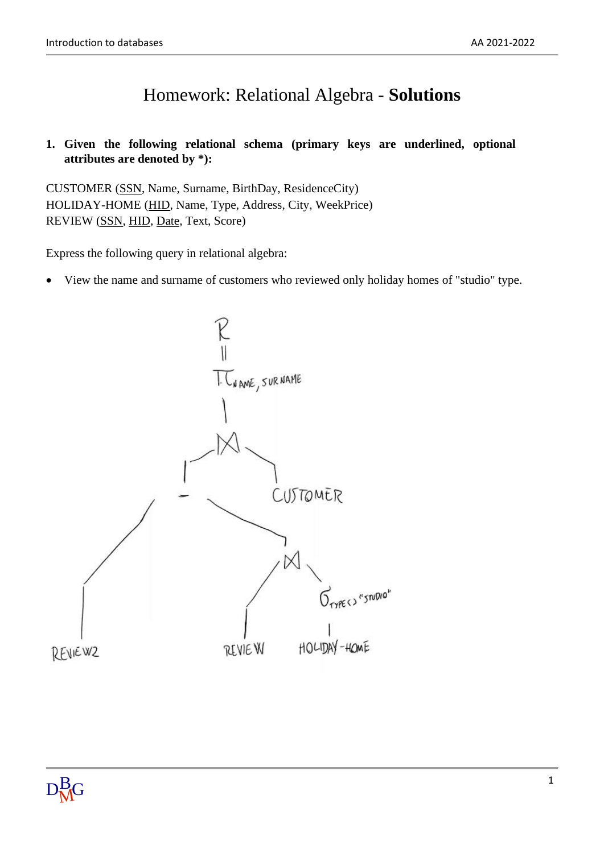## Homework: Relational Algebra - **Solutions**

## **1. Given the following relational schema (primary keys are underlined, optional attributes are denoted by \*):**

CUSTOMER (SSN, Name, Surname, BirthDay, ResidenceCity) HOLIDAY-HOME (HID, Name, Type, Address, City, WeekPrice) REVIEW (SSN, HID, Date, Text, Score)

Express the following query in relational algebra:

• View the name and surname of customers who reviewed only holiday homes of "studio" type.

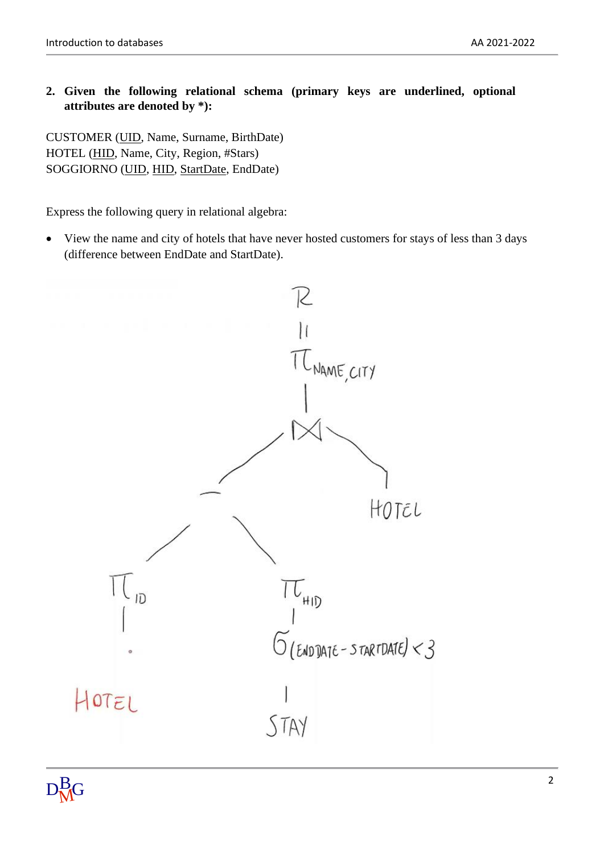## **2. Given the following relational schema (primary keys are underlined, optional attributes are denoted by \*):**

CUSTOMER (UID, Name, Surname, BirthDate) HOTEL (HID, Name, City, Region, #Stars) SOGGIORNO (UID, HID, StartDate, EndDate)

Express the following query in relational algebra:

• View the name and city of hotels that have never hosted customers for stays of less than 3 days (difference between EndDate and StartDate).

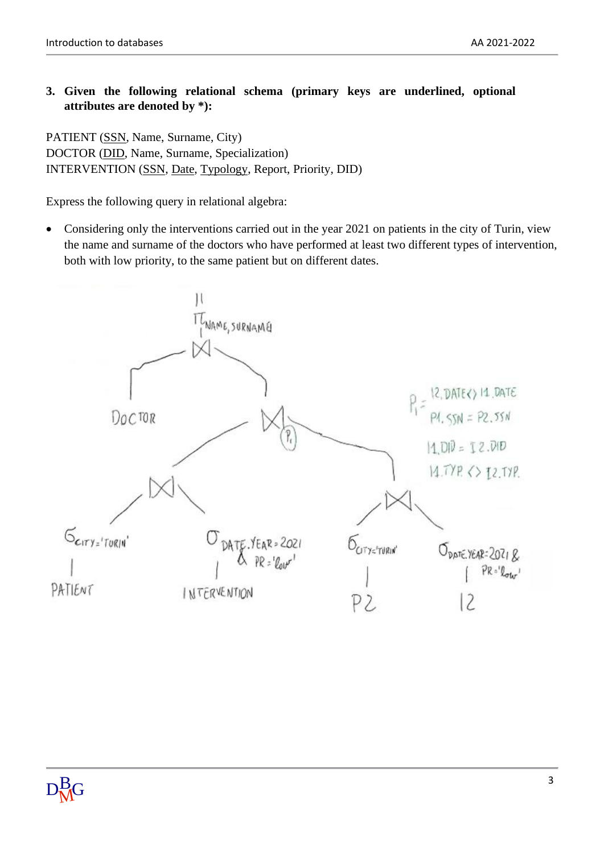## **3. Given the following relational schema (primary keys are underlined, optional attributes are denoted by \*):**

PATIENT (SSN, Name, Surname, City) DOCTOR (DID, Name, Surname, Specialization) INTERVENTION (SSN, Date, Typology, Report, Priority, DID)

Express the following query in relational algebra:

• Considering only the interventions carried out in the year 2021 on patients in the city of Turin, view the name and surname of the doctors who have performed at least two different types of intervention, both with low priority, to the same patient but on different dates.

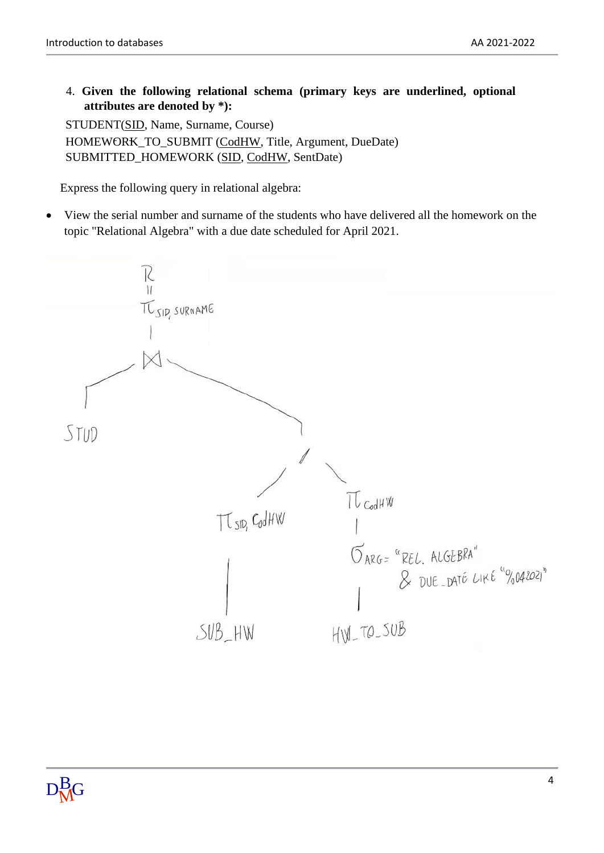4. **Given the following relational schema (primary keys are underlined, optional attributes are denoted by \*):**

STUDENT(SID, Name, Surname, Course) HOMEWORK\_TO\_SUBMIT (CodHW, Title, Argument, DueDate) SUBMITTED\_HOMEWORK (SID, CodHW, SentDate)

Express the following query in relational algebra:

• View the serial number and surname of the students who have delivered all the homework on the topic "Relational Algebra" with a due date scheduled for April 2021.